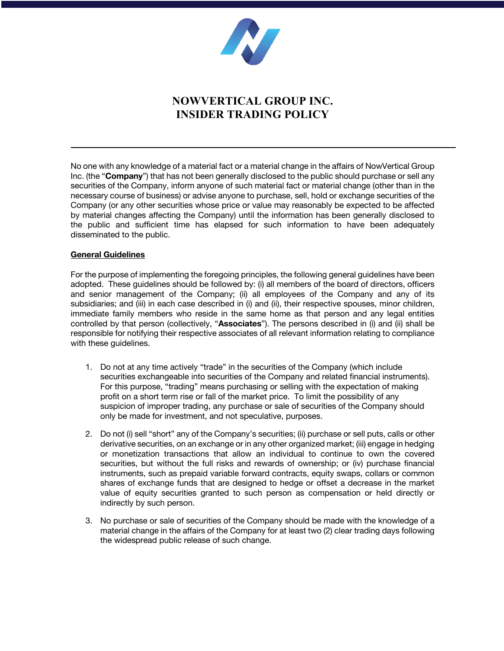

# **NOWVERTICAL GROUP INC. INSIDER TRADING POLICY**

No one with any knowledge of a material fact or a material change in the affairs of NowVertical Group Inc. (the "**Company**") that has not been generally disclosed to the public should purchase or sell any securities of the Company, inform anyone of such material fact or material change (other than in the necessary course of business) or advise anyone to purchase, sell, hold or exchange securities of the Company (or any other securities whose price or value may reasonably be expected to be affected by material changes affecting the Company) until the information has been generally disclosed to the public and sufficient time has elapsed for such information to have been adequately disseminated to the public.

#### **General Guidelines**

For the purpose of implementing the foregoing principles, the following general guidelines have been adopted. These guidelines should be followed by: (i) all members of the board of directors, officers and senior management of the Company; (ii) all employees of the Company and any of its subsidiaries; and (iii) in each case described in (i) and (ii), their respective spouses, minor children, immediate family members who reside in the same home as that person and any legal entities controlled by that person (collectively, "**Associates**"). The persons described in (i) and (ii) shall be responsible for notifying their respective associates of all relevant information relating to compliance with these guidelines.

- 1. Do not at any time actively "trade" in the securities of the Company (which include securities exchangeable into securities of the Company and related financial instruments). For this purpose, "trading" means purchasing or selling with the expectation of making profit on a short term rise or fall of the market price. To limit the possibility of any suspicion of improper trading, any purchase or sale of securities of the Company should only be made for investment, and not speculative, purposes.
- 2. Do not (i) sell "short" any of the Company's securities; (ii) purchase or sell puts, calls or other derivative securities, on an exchange or in any other organized market; (iii) engage in hedging or monetization transactions that allow an individual to continue to own the covered securities, but without the full risks and rewards of ownership; or (iv) purchase financial instruments, such as prepaid variable forward contracts, equity swaps, collars or common shares of exchange funds that are designed to hedge or offset a decrease in the market value of equity securities granted to such person as compensation or held directly or indirectly by such person.
- 3. No purchase or sale of securities of the Company should be made with the knowledge of a material change in the affairs of the Company for at least two (2) clear trading days following the widespread public release of such change.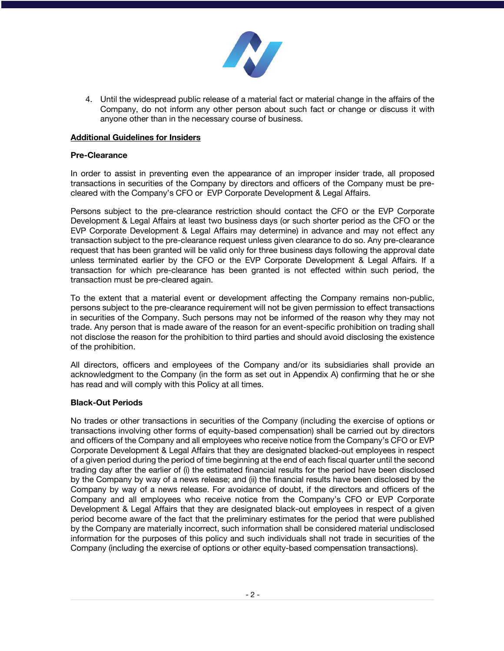

4. Until the widespread public release of a material fact or material change in the affairs of the Company, do not inform any other person about such fact or change or discuss it with anyone other than in the necessary course of business.

### **Additional Guidelines for Insiders**

### **Pre-Clearance**

In order to assist in preventing even the appearance of an improper insider trade, all proposed transactions in securities of the Company by directors and officers of the Company must be precleared with the Company's CFO or EVP Corporate Development & Legal Affairs.

Persons subject to the pre-clearance restriction should contact the CFO or the EVP Corporate Development & Legal Affairs at least two business days (or such shorter period as the CFO or the EVP Corporate Development & Legal Affairs may determine) in advance and may not effect any transaction subject to the pre-clearance request unless given clearance to do so. Any pre-clearance request that has been granted will be valid only for three business days following the approval date unless terminated earlier by the CFO or the EVP Corporate Development & Legal Affairs. If a transaction for which pre-clearance has been granted is not effected within such period, the transaction must be pre-cleared again.

To the extent that a material event or development affecting the Company remains non-public, persons subject to the pre-clearance requirement will not be given permission to effect transactions in securities of the Company. Such persons may not be informed of the reason why they may not trade. Any person that is made aware of the reason for an event-specific prohibition on trading shall not disclose the reason for the prohibition to third parties and should avoid disclosing the existence of the prohibition.

All directors, officers and employees of the Company and/or its subsidiaries shall provide an acknowledgment to the Company (in the form as set out in Appendix A) confirming that he or she has read and will comply with this Policy at all times.

### **Black-Out Periods**

No trades or other transactions in securities of the Company (including the exercise of options or transactions involving other forms of equity-based compensation) shall be carried out by directors and officers of the Company and all employees who receive notice from the Company's CFO or EVP Corporate Development & Legal Affairs that they are designated blacked-out employees in respect of a given period during the period of time beginning at the end of each fiscal quarter until the second trading day after the earlier of (i) the estimated financial results for the period have been disclosed by the Company by way of a news release; and (ii) the financial results have been disclosed by the Company by way of a news release. For avoidance of doubt, if the directors and officers of the Company and all employees who receive notice from the Company's CFO or EVP Corporate Development & Legal Affairs that they are designated black-out employees in respect of a given period become aware of the fact that the preliminary estimates for the period that were published by the Company are materially incorrect, such information shall be considered material undisclosed information for the purposes of this policy and such individuals shall not trade in securities of the Company (including the exercise of options or other equity-based compensation transactions).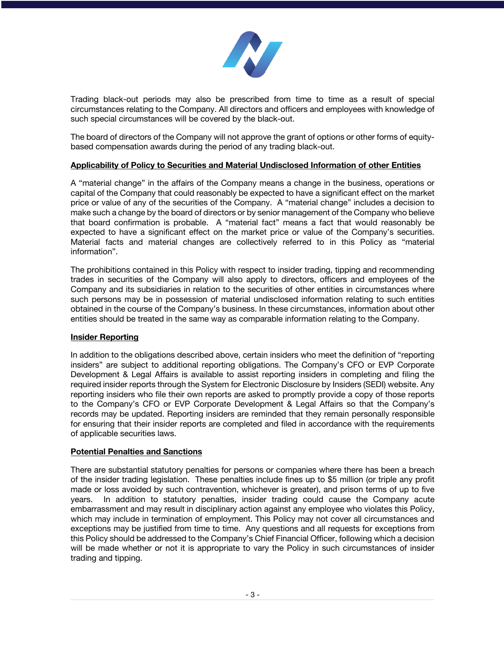

Trading black-out periods may also be prescribed from time to time as a result of special circumstances relating to the Company. All directors and officers and employees with knowledge of such special circumstances will be covered by the black-out.

The board of directors of the Company will not approve the grant of options or other forms of equitybased compensation awards during the period of any trading black-out.

### **Applicability of Policy to Securities and Material Undisclosed Information of other Entities**

A "material change" in the affairs of the Company means a change in the business, operations or capital of the Company that could reasonably be expected to have a significant effect on the market price or value of any of the securities of the Company. A "material change" includes a decision to make such a change by the board of directors or by senior management of the Company who believe that board confirmation is probable. A "material fact" means a fact that would reasonably be expected to have a significant effect on the market price or value of the Company's securities. Material facts and material changes are collectively referred to in this Policy as "material information".

The prohibitions contained in this Policy with respect to insider trading, tipping and recommending trades in securities of the Company will also apply to directors, officers and employees of the Company and its subsidiaries in relation to the securities of other entities in circumstances where such persons may be in possession of material undisclosed information relating to such entities obtained in the course of the Company's business. In these circumstances, information about other entities should be treated in the same way as comparable information relating to the Company.

### **Insider Reporting**

In addition to the obligations described above, certain insiders who meet the definition of "reporting insiders" are subject to additional reporting obligations. The Company's CFO or EVP Corporate Development & Legal Affairs is available to assist reporting insiders in completing and filing the required insider reports through the System for Electronic Disclosure by Insiders (SEDI) website. Any reporting insiders who file their own reports are asked to promptly provide a copy of those reports to the Company's CFO or EVP Corporate Development & Legal Affairs so that the Company's records may be updated. Reporting insiders are reminded that they remain personally responsible for ensuring that their insider reports are completed and filed in accordance with the requirements of applicable securities laws.

### **Potential Penalties and Sanctions**

There are substantial statutory penalties for persons or companies where there has been a breach of the insider trading legislation. These penalties include fines up to \$5 million (or triple any profit made or loss avoided by such contravention, whichever is greater), and prison terms of up to five years. In addition to statutory penalties, insider trading could cause the Company acute embarrassment and may result in disciplinary action against any employee who violates this Policy, which may include in termination of employment. This Policy may not cover all circumstances and exceptions may be justified from time to time. Any questions and all requests for exceptions from this Policy should be addressed to the Company's Chief Financial Officer, following which a decision will be made whether or not it is appropriate to vary the Policy in such circumstances of insider trading and tipping.